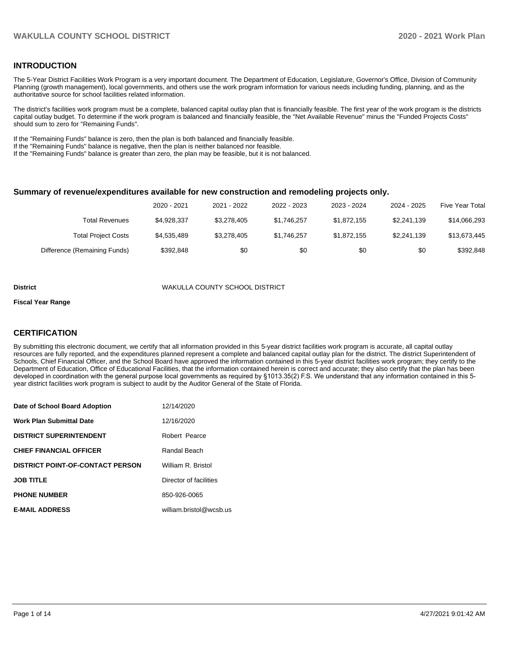#### **INTRODUCTION**

The 5-Year District Facilities Work Program is a very important document. The Department of Education, Legislature, Governor's Office, Division of Community Planning (growth management), local governments, and others use the work program information for various needs including funding, planning, and as the authoritative source for school facilities related information.

The district's facilities work program must be a complete, balanced capital outlay plan that is financially feasible. The first year of the work program is the districts capital outlay budget. To determine if the work program is balanced and financially feasible, the "Net Available Revenue" minus the "Funded Projects Costs" should sum to zero for "Remaining Funds".

If the "Remaining Funds" balance is zero, then the plan is both balanced and financially feasible.

If the "Remaining Funds" balance is negative, then the plan is neither balanced nor feasible.

If the "Remaining Funds" balance is greater than zero, the plan may be feasible, but it is not balanced.

#### **Summary of revenue/expenditures available for new construction and remodeling projects only.**

|                              | 2020 - 2021 | 2021 - 2022 | 2022 - 2023 | 2023 - 2024 | 2024 - 2025 | <b>Five Year Total</b> |
|------------------------------|-------------|-------------|-------------|-------------|-------------|------------------------|
| Total Revenues               | \$4,928,337 | \$3,278,405 | \$1.746.257 | \$1,872,155 | \$2.241.139 | \$14,066,293           |
| <b>Total Project Costs</b>   | \$4,535,489 | \$3,278,405 | \$1,746,257 | \$1,872,155 | \$2,241,139 | \$13,673,445           |
| Difference (Remaining Funds) | \$392.848   | \$0         | \$0         | \$0         | \$0         | \$392,848              |

#### **District** WAKULLA COUNTY SCHOOL DISTRICT

#### **Fiscal Year Range**

#### **CERTIFICATION**

By submitting this electronic document, we certify that all information provided in this 5-year district facilities work program is accurate, all capital outlay resources are fully reported, and the expenditures planned represent a complete and balanced capital outlay plan for the district. The district Superintendent of Schools, Chief Financial Officer, and the School Board have approved the information contained in this 5-year district facilities work program; they certify to the Department of Education, Office of Educational Facilities, that the information contained herein is correct and accurate; they also certify that the plan has been developed in coordination with the general purpose local governments as required by §1013.35(2) F.S. We understand that any information contained in this 5 year district facilities work program is subject to audit by the Auditor General of the State of Florida.

| Date of School Board Adoption           | 12/14/2020              |
|-----------------------------------------|-------------------------|
| <b>Work Plan Submittal Date</b>         | 12/16/2020              |
| <b>DISTRICT SUPERINTENDENT</b>          | Robert Pearce           |
| <b>CHIEF FINANCIAL OFFICER</b>          | Randal Beach            |
| <b>DISTRICT POINT-OF-CONTACT PERSON</b> | William R. Bristol      |
| <b>JOB TITLE</b>                        | Director of facilities  |
| <b>PHONE NUMBER</b>                     | 850-926-0065            |
| <b>E-MAIL ADDRESS</b>                   | william.bristol@wcsb.us |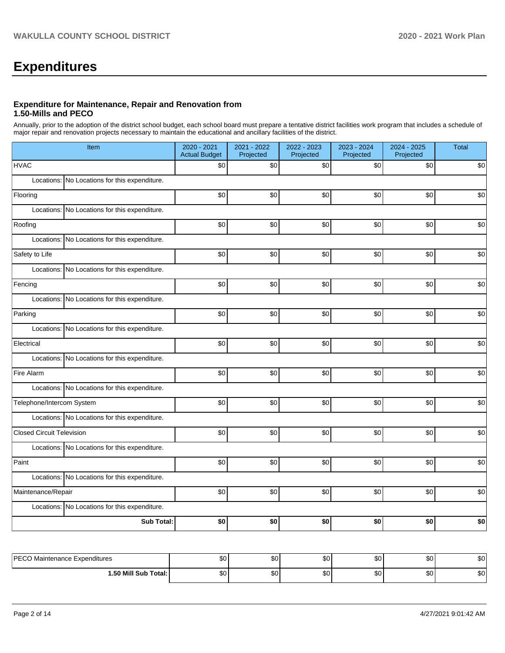# **Expenditures**

#### **Expenditure for Maintenance, Repair and Renovation from 1.50-Mills and PECO**

Annually, prior to the adoption of the district school budget, each school board must prepare a tentative district facilities work program that includes a schedule of major repair and renovation projects necessary to maintain the educational and ancillary facilities of the district.

| Item                                             | 2020 - 2021<br><b>Actual Budget</b> | 2021 - 2022<br>Projected | 2022 - 2023<br>Projected | 2023 - 2024<br>Projected | 2024 - 2025<br>Projected | <b>Total</b> |
|--------------------------------------------------|-------------------------------------|--------------------------|--------------------------|--------------------------|--------------------------|--------------|
| <b>HVAC</b>                                      | \$0                                 | \$0                      | \$0                      | \$0                      | \$0                      | \$0          |
| Locations: No Locations for this expenditure.    |                                     |                          |                          |                          |                          |              |
| Flooring                                         | \$0                                 | \$0                      | \$0                      | \$0                      | \$0                      | \$0          |
| Locations: No Locations for this expenditure.    |                                     |                          |                          |                          |                          |              |
| Roofing                                          | \$0                                 | \$0                      | \$0                      | \$0                      | \$0                      | \$0          |
| Locations: No Locations for this expenditure.    |                                     |                          |                          |                          |                          |              |
| Safety to Life                                   | \$0                                 | \$0                      | \$0                      | \$0                      | \$0                      | \$0          |
| No Locations for this expenditure.<br>Locations: |                                     |                          |                          |                          |                          |              |
| Fencing                                          | $$0$$                               | \$0                      | \$0                      | \$0                      | \$0                      | \$0          |
| Locations: No Locations for this expenditure.    |                                     |                          |                          |                          |                          |              |
| Parking                                          | \$0                                 | \$0                      | \$0                      | \$0                      | \$0                      | \$0          |
| Locations: No Locations for this expenditure.    |                                     |                          |                          |                          |                          |              |
| Electrical                                       | \$0                                 | \$0                      | \$0                      | \$0                      | \$0                      | \$0          |
| Locations: No Locations for this expenditure.    |                                     |                          |                          |                          |                          |              |
| Fire Alarm                                       | \$0                                 | \$0                      | \$0                      | \$0                      | \$0                      | \$0          |
| Locations: No Locations for this expenditure.    |                                     |                          |                          |                          |                          |              |
| Telephone/Intercom System                        | \$0                                 | \$0                      | \$0                      | \$0                      | \$0                      | \$0          |
| Locations: No Locations for this expenditure.    |                                     |                          |                          |                          |                          |              |
| <b>Closed Circuit Television</b>                 | \$0                                 | \$0                      | \$0                      | \$0                      | \$0                      | \$0          |
| Locations: No Locations for this expenditure.    |                                     |                          |                          |                          |                          |              |
| Paint                                            | \$0                                 | \$0                      | \$0                      | \$0                      | \$0                      | \$0          |
| Locations: No Locations for this expenditure.    |                                     |                          |                          |                          |                          |              |
| Maintenance/Repair                               | \$0                                 | \$0                      | \$0                      | \$0                      | \$0                      | \$0          |
| Locations: No Locations for this expenditure.    |                                     |                          |                          |                          |                          |              |
| <b>Sub Total:</b>                                | \$0                                 | \$0                      | \$0                      | \$0                      | \$0                      | \$0          |
|                                                  |                                     |                          |                          |                          |                          |              |
| <b>PECO Maintenance Expenditures</b>             | \$0 <sub>l</sub>                    | \$0                      | \$0]                     | \$0                      | \$0                      | \$0          |

**1.50 Mill Sub Total:** \$0 \$0 \$0 \$0 \$0 \$0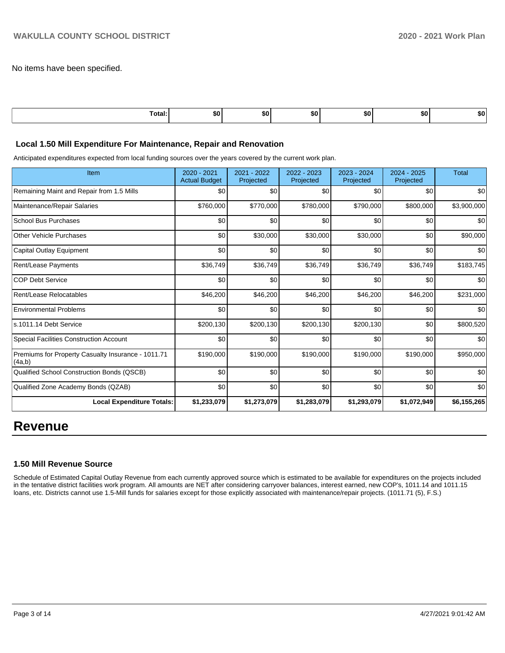No items have been specified.

| Total: | \$0 | SO I | . .<br>. | <b>SO</b> | <u>та</u><br>ъU | 50. |
|--------|-----|------|----------|-----------|-----------------|-----|
|        |     |      |          |           |                 |     |

#### **Local 1.50 Mill Expenditure For Maintenance, Repair and Renovation**

Anticipated expenditures expected from local funding sources over the years covered by the current work plan.

| Item                                                         | 2020 - 2021<br><b>Actual Budget</b> | 2021 - 2022<br>Projected | 2022 - 2023<br>Projected | 2023 - 2024<br>Projected | 2024 - 2025<br>Projected | <b>Total</b> |
|--------------------------------------------------------------|-------------------------------------|--------------------------|--------------------------|--------------------------|--------------------------|--------------|
| Remaining Maint and Repair from 1.5 Mills                    | \$0                                 | \$0                      | \$0                      | \$0                      | \$0                      | \$0          |
| Maintenance/Repair Salaries                                  | \$760,000                           | \$770,000                | \$780,000                | \$790,000                | \$800,000                | \$3,900,000  |
| <b>School Bus Purchases</b>                                  | \$0                                 | \$0                      | \$0                      | \$0                      | \$0                      | \$0          |
| <b>Other Vehicle Purchases</b>                               | \$0                                 | \$30,000                 | \$30,000                 | \$30,000                 | \$0                      | \$90,000     |
| Capital Outlay Equipment                                     | \$0                                 | \$0                      | \$0                      | \$0                      | \$0                      | \$0          |
| Rent/Lease Payments                                          | \$36,749                            | \$36,749                 | \$36,749                 | \$36,749                 | \$36,749                 | \$183,745    |
| <b>COP Debt Service</b>                                      | \$0                                 | \$0                      | \$0                      | \$0                      | \$0                      | \$0          |
| Rent/Lease Relocatables                                      | \$46,200                            | \$46,200                 | \$46,200                 | \$46,200                 | \$46,200                 | \$231,000    |
| <b>Environmental Problems</b>                                | \$0                                 | \$0                      | \$0                      | \$0                      | \$0                      | \$0          |
| s.1011.14 Debt Service                                       | \$200,130                           | \$200,130                | \$200,130                | \$200,130                | \$0                      | \$800,520    |
| <b>Special Facilities Construction Account</b>               | \$0                                 | \$0                      | \$0                      | \$0                      | \$0                      | \$0          |
| Premiums for Property Casualty Insurance - 1011.71<br>(4a,b) | \$190,000                           | \$190,000                | \$190,000                | \$190,000                | \$190,000                | \$950,000    |
| Qualified School Construction Bonds (QSCB)                   | \$0                                 | \$0                      | \$0                      | \$0                      | \$0                      | \$0          |
| Qualified Zone Academy Bonds (QZAB)                          | \$0                                 | \$0                      | \$0                      | \$0                      | \$0                      | \$0          |
| <b>Local Expenditure Totals:</b>                             | \$1,233,079                         | \$1,273,079              | \$1,283,079              | \$1,293,079              | \$1,072,949              | \$6,155,265  |

# **Revenue**

#### **1.50 Mill Revenue Source**

Schedule of Estimated Capital Outlay Revenue from each currently approved source which is estimated to be available for expenditures on the projects included in the tentative district facilities work program. All amounts are NET after considering carryover balances, interest earned, new COP's, 1011.14 and 1011.15 loans, etc. Districts cannot use 1.5-Mill funds for salaries except for those explicitly associated with maintenance/repair projects. (1011.71 (5), F.S.)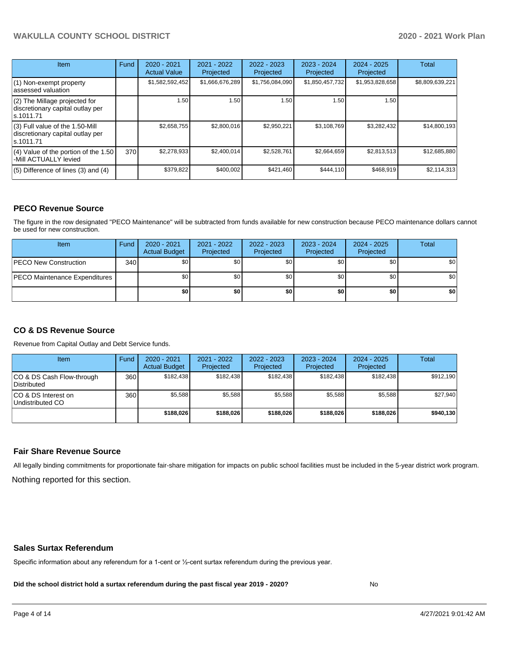# **WAKULLA COUNTY SCHOOL DISTRICT 2020 - 2021 Work Plan**

| <b>Item</b>                                                                         | Fund | $2020 - 2021$<br><b>Actual Value</b> | $2021 - 2022$<br>Projected | $2022 - 2023$<br>Projected | $2023 - 2024$<br>Projected | $2024 - 2025$<br>Projected | Total           |
|-------------------------------------------------------------------------------------|------|--------------------------------------|----------------------------|----------------------------|----------------------------|----------------------------|-----------------|
| (1) Non-exempt property<br>lassessed valuation                                      |      | \$1,582,592,452                      | \$1,666,676,289            | \$1,756,084,090            | \$1,850,457,732            | \$1,953,828,658            | \$8,809,639,221 |
| (2) The Millage projected for<br>discretionary capital outlay per<br>ls.1011.71     |      | 1.50                                 | 1.50                       | 1.50                       | 1.50                       | 1.50                       |                 |
| $(3)$ Full value of the 1.50-Mill<br>discretionary capital outlay per<br>ls.1011.71 |      | \$2,658,755                          | \$2,800,016                | \$2,950,221                | \$3,108,769                | \$3,282,432                | \$14,800,193    |
| $(4)$ Value of the portion of the 1.50<br>-Mill ACTUALLY levied                     | 370  | \$2,278,933                          | \$2,400,014                | \$2,528,761                | \$2,664,659                | \$2,813,513                | \$12,685,880    |
| $(5)$ Difference of lines $(3)$ and $(4)$                                           |      | \$379,822                            | \$400.002                  | \$421.460                  | \$444.110                  | \$468.919                  | \$2,114,313     |

#### **PECO Revenue Source**

The figure in the row designated "PECO Maintenance" will be subtracted from funds available for new construction because PECO maintenance dollars cannot be used for new construction.

| Item                                 | Fund             | 2020 - 2021<br><b>Actual Budget</b> | 2021 - 2022<br>Projected | 2022 - 2023<br>Projected | 2023 - 2024<br>Projected | $2024 - 2025$<br>Projected | Total            |
|--------------------------------------|------------------|-------------------------------------|--------------------------|--------------------------|--------------------------|----------------------------|------------------|
| <b>IPECO New Construction</b>        | 340 <sub>l</sub> | \$0 <sub>1</sub>                    | \$0 <sub>1</sub>         | \$0                      | \$0                      | \$0                        | \$0 <sub>1</sub> |
| <b>PECO Maintenance Expenditures</b> |                  | \$0 <sub>1</sub>                    | \$0                      | \$0                      | \$0                      | \$0                        | \$0 <sub>1</sub> |
|                                      |                  | \$0                                 | \$0                      | \$0                      | \$0                      | \$0                        | \$0              |

## **CO & DS Revenue Source**

Revenue from Capital Outlay and Debt Service funds.

| <b>Item</b>                               | Fund | $2020 - 2021$<br><b>Actual Budget</b> | 2021 - 2022<br>Projected | 2022 - 2023<br>Projected | $2023 - 2024$<br>Projected | $2024 - 2025$<br>Projected | Total     |
|-------------------------------------------|------|---------------------------------------|--------------------------|--------------------------|----------------------------|----------------------------|-----------|
| ICO & DS Cash Flow-through<br>Distributed | 360  | \$182.438                             | \$182.438                | \$182.438                | \$182.438                  | \$182.438                  | \$912,190 |
| ICO & DS Interest on<br>Undistributed CO  | 360  | \$5.588                               | \$5.588                  | \$5.588                  | \$5.588                    | \$5,588                    | \$27,940  |
|                                           |      | \$188,026                             | \$188,026                | \$188,026                | \$188.026                  | \$188,026                  | \$940,130 |

#### **Fair Share Revenue Source**

Nothing reported for this section. All legally binding commitments for proportionate fair-share mitigation for impacts on public school facilities must be included in the 5-year district work program.

#### **Sales Surtax Referendum**

Specific information about any referendum for a 1-cent or ½-cent surtax referendum during the previous year.

**Did the school district hold a surtax referendum during the past fiscal year 2019 - 2020?**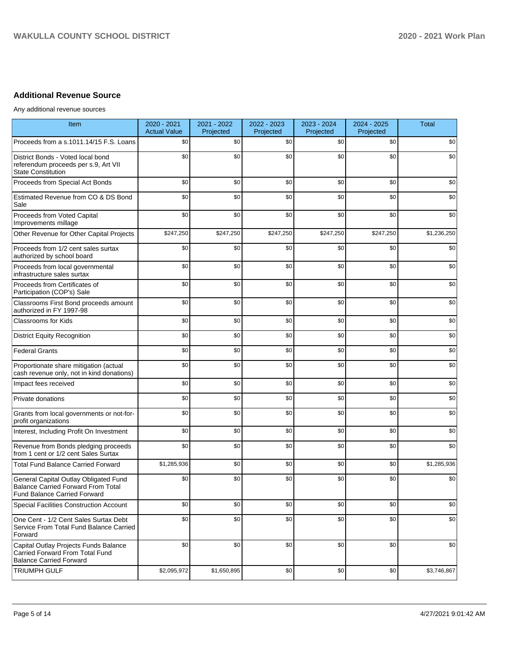# **Additional Revenue Source**

Any additional revenue sources

| <b>Item</b>                                                                                                               | 2020 - 2021<br><b>Actual Value</b> | 2021 - 2022<br>Projected | 2022 - 2023<br>Projected | 2023 - 2024<br>Projected | 2024 - 2025<br>Projected | <b>Total</b> |
|---------------------------------------------------------------------------------------------------------------------------|------------------------------------|--------------------------|--------------------------|--------------------------|--------------------------|--------------|
| Proceeds from a s.1011.14/15 F.S. Loans                                                                                   | \$0                                | \$0                      | \$0                      | \$0                      | \$0                      | \$0          |
| District Bonds - Voted local bond<br>referendum proceeds per s.9, Art VII<br><b>State Constitution</b>                    | \$0                                | \$0                      | \$0                      | \$0                      | \$0                      | \$0          |
| Proceeds from Special Act Bonds                                                                                           | \$0                                | \$0                      | \$0                      | \$0                      | \$0                      | \$0          |
| Estimated Revenue from CO & DS Bond<br>Sale                                                                               | \$0                                | \$0                      | \$0                      | \$0                      | \$0                      | \$0          |
| Proceeds from Voted Capital<br>Improvements millage                                                                       | \$0                                | \$0                      | \$0                      | \$0                      | \$0                      | \$0          |
| Other Revenue for Other Capital Projects                                                                                  | \$247,250                          | \$247,250                | \$247,250                | \$247,250                | \$247,250                | \$1,236,250  |
| Proceeds from 1/2 cent sales surtax<br>authorized by school board                                                         | \$0                                | \$0                      | \$0                      | \$0                      | \$0                      | \$0          |
| Proceeds from local governmental<br>infrastructure sales surtax                                                           | \$0                                | \$0                      | \$0                      | \$0                      | \$0                      | \$0          |
| Proceeds from Certificates of<br>Participation (COP's) Sale                                                               | \$0                                | \$0                      | \$0                      | \$0                      | \$0                      | \$0          |
| Classrooms First Bond proceeds amount<br>authorized in FY 1997-98                                                         | \$0                                | \$0                      | \$0                      | \$0                      | \$0                      | \$0          |
| <b>Classrooms for Kids</b>                                                                                                | \$0                                | \$0                      | \$0                      | \$0                      | \$0                      | \$0          |
| <b>District Equity Recognition</b>                                                                                        | \$0                                | \$0                      | \$0                      | \$0                      | \$0                      | \$0          |
| <b>Federal Grants</b>                                                                                                     | \$0                                | \$0                      | \$0                      | \$0                      | \$0                      | \$0          |
| Proportionate share mitigation (actual<br>cash revenue only, not in kind donations)                                       | \$0                                | \$0                      | \$0                      | \$0                      | \$0                      | \$0          |
| Impact fees received                                                                                                      | \$0                                | \$0                      | \$0                      | \$0                      | \$0                      | \$0          |
| Private donations                                                                                                         | \$0                                | \$0                      | \$0                      | \$0                      | \$0                      | \$0          |
| Grants from local governments or not-for-<br>profit organizations                                                         | \$0                                | \$0                      | \$0                      | \$0                      | \$0                      | \$0          |
| Interest, Including Profit On Investment                                                                                  | \$0                                | \$0                      | \$0                      | \$0                      | \$0                      | \$0          |
| Revenue from Bonds pledging proceeds<br>from 1 cent or 1/2 cent Sales Surtax                                              | \$0                                | \$0                      | \$0                      | \$0                      | \$0                      | \$0          |
| <b>Total Fund Balance Carried Forward</b>                                                                                 | \$1,285,936                        | \$0                      | \$0                      | \$0                      | \$0                      | \$1,285,936  |
| General Capital Outlay Obligated Fund<br><b>Balance Carried Forward From Total</b><br><b>Fund Balance Carried Forward</b> | \$0                                | \$0                      | \$0                      | \$0                      | \$0                      | \$0          |
| Special Facilities Construction Account                                                                                   | \$0                                | \$0                      | \$0                      | \$0                      | \$0                      | \$0          |
| One Cent - 1/2 Cent Sales Surtax Debt<br>Service From Total Fund Balance Carried<br>Forward                               | \$0                                | \$0                      | \$0                      | \$0                      | \$0                      | \$0          |
| Capital Outlay Projects Funds Balance<br>Carried Forward From Total Fund<br><b>Balance Carried Forward</b>                | \$0                                | \$0                      | \$0                      | \$0                      | \$0                      | \$0          |
| <b>TRIUMPH GULF</b>                                                                                                       | \$2,095,972                        | \$1,650,895              | \$0                      | \$0                      | \$0                      | \$3,746,867  |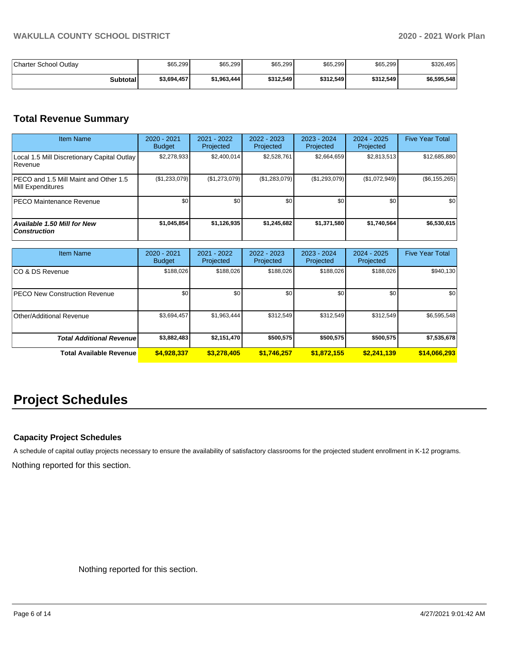| Charter School Outlav | \$65,299    | \$65,299    | \$65,299  | \$65,299  | \$65,299  | \$326,495   |
|-----------------------|-------------|-------------|-----------|-----------|-----------|-------------|
| <b>Subtotal</b>       | \$3,694,457 | \$1,963,444 | \$312.549 | \$312.549 | \$312,549 | \$6,595,548 |

# **Total Revenue Summary**

| <b>Item Name</b>                                           | 2020 - 2021<br><b>Budget</b> | 2021 - 2022<br>Projected | $2022 - 2023$<br>Projected | 2023 - 2024<br>Projected | 2024 - 2025<br>Projected | <b>Five Year Total</b> |
|------------------------------------------------------------|------------------------------|--------------------------|----------------------------|--------------------------|--------------------------|------------------------|
| Local 1.5 Mill Discretionary Capital Outlay<br>l Revenue   | \$2,278,933                  | \$2.400.014              | \$2,528,761                | \$2,664,659              | \$2,813,513              | \$12,685,880           |
| PECO and 1.5 Mill Maint and Other 1.5<br>Mill Expenditures | (\$1,233,079)                | (\$1,273,079)            | (\$1,283,079)              | (\$1,293,079)            | (\$1,072,949)            | $(\$6, 155, 265)$      |
| <b>IPECO Maintenance Revenue</b>                           | \$0                          | \$0 <sub>1</sub>         | \$0                        | \$0                      | \$0                      | \$0                    |
| Available 1.50 Mill for New<br><b>Construction</b>         | \$1,045,854                  | \$1,126,935              | \$1,245,682                | \$1,371,580              | \$1,740,564              | \$6,530,615            |

| <b>Item Name</b>                     | $2020 - 2021$<br><b>Budget</b> | $2021 - 2022$<br>Projected | $2022 - 2023$<br>Projected | 2023 - 2024<br>Projected | $2024 - 2025$<br>Projected | <b>Five Year Total</b> |
|--------------------------------------|--------------------------------|----------------------------|----------------------------|--------------------------|----------------------------|------------------------|
| ICO & DS Revenue                     | \$188,026                      | \$188,026                  | \$188,026                  | \$188,026                | \$188,026                  | \$940,130              |
| <b>PECO New Construction Revenue</b> | \$0                            | \$0                        | \$0                        | \$0                      | \$0                        | \$0                    |
| Other/Additional Revenue             | \$3,694,457                    | \$1,963,444                | \$312,549                  | \$312,549                | \$312,549                  | \$6,595,548            |
| <b>Total Additional Revenue</b>      | \$3,882,483                    | \$2,151,470                | \$500.575                  | \$500,575                | \$500.575                  | \$7,535,678            |
| <b>Total Available Revenue</b>       | \$4,928,337                    | \$3,278,405                | \$1,746,257                | \$1,872,155              | \$2,241,139                | \$14,066,293           |

# **Project Schedules**

## **Capacity Project Schedules**

Nothing reported for this section. A schedule of capital outlay projects necessary to ensure the availability of satisfactory classrooms for the projected student enrollment in K-12 programs.

Nothing reported for this section.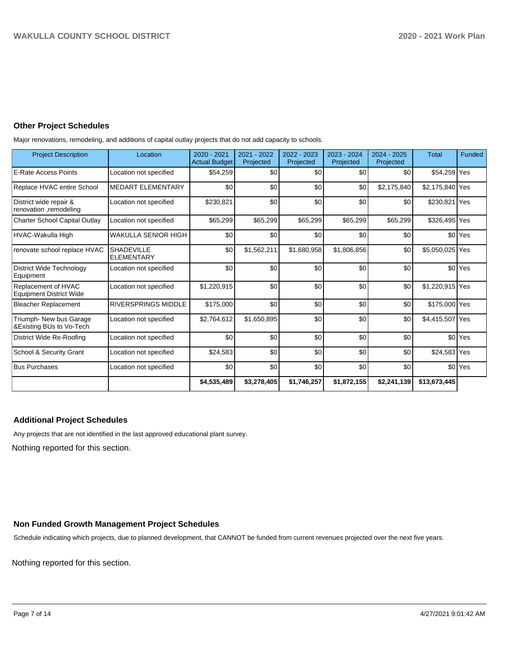## **Other Project Schedules**

Major renovations, remodeling, and additions of capital outlay projects that do not add capacity to schools.

| <b>Project Description</b>                            | Location                               | $2020 - 2021$<br><b>Actual Budget</b> | 2021 - 2022<br>Projected | 2022 - 2023<br>Projected | $2023 - 2024$<br>Projected | $2024 - 2025$<br>Projected | <b>Total</b>    | Funded             |
|-------------------------------------------------------|----------------------------------------|---------------------------------------|--------------------------|--------------------------|----------------------------|----------------------------|-----------------|--------------------|
| <b>E-Rate Access Points</b>                           | Location not specified                 | \$54,259                              | \$0                      | \$0                      | \$0                        | \$0                        | \$54,259 Yes    |                    |
| Replace HVAC entire School                            | <b>MEDART ELEMENTARY</b>               | \$0                                   | \$0                      | \$0                      | \$0                        | \$2,175,840                | \$2,175,840 Yes |                    |
| District wide repair &<br>renovation ,remodeling      | Location not specified                 | \$230,821                             | \$0                      | \$0                      | \$0                        | \$0                        | \$230,821       | Yes                |
| <b>Charter School Capital Outlay</b>                  | Location not specified                 | \$65,299                              | \$65,299                 | \$65,299                 | \$65,299                   | \$65,299                   | \$326,495 Yes   |                    |
| HVAC-Wakulla High                                     | <b>WAKULLA SENIOR HIGH</b>             | \$0                                   | \$0                      | \$0                      | \$0                        | \$0                        | \$0             | Yes                |
| renovate school replace HVAC                          | <b>SHADEVILLE</b><br><b>ELEMENTARY</b> | \$0                                   | \$1,562,211              | \$1,680,958              | \$1,806,856                | \$0                        | \$5,050,025 Yes |                    |
| <b>District Wide Technology</b><br>Equipment          | Location not specified                 | \$0                                   | \$0                      | \$0                      | \$0                        | \$0                        |                 | \$0 Yes            |
| Replacement of HVAC<br><b>Equipment District Wide</b> | Location not specified                 | \$1,220,915                           | \$0                      | \$0                      | \$0                        | \$0                        | \$1,220,915 Yes |                    |
| <b>Bleacher Replacement</b>                           | <b>RIVERSPRINGS MIDDLE</b>             | \$175,000                             | \$0                      | \$0                      | \$0                        | \$0                        | \$175,000 Yes   |                    |
| Triumph- New bus Garage<br>&Existing BUs to Vo-Tech   | Location not specified                 | \$2,764,612                           | \$1,650,895              | \$0                      | \$0                        | \$0                        | \$4,415,507 Yes |                    |
| District Wide Re-Roofing                              | Location not specified                 | \$0                                   | \$0                      | \$0                      | \$0                        | \$0                        |                 | \$0 <sup>Yes</sup> |
| School & Security Grant                               | Location not specified                 | \$24,583                              | \$0                      | \$0                      | \$0                        | \$0                        | \$24,583 Yes    |                    |
| <b>Bus Purchases</b>                                  | Location not specified                 | \$0                                   | \$0                      | \$0                      | \$0                        | \$0                        |                 | \$0 <sup>Yes</sup> |
|                                                       |                                        | \$4,535,489                           | \$3,278,405              | \$1,746,257              | \$1,872,155                | \$2,241,139                | \$13,673,445    |                    |

## **Additional Project Schedules**

Any projects that are not identified in the last approved educational plant survey.

Nothing reported for this section.

## **Non Funded Growth Management Project Schedules**

Schedule indicating which projects, due to planned development, that CANNOT be funded from current revenues projected over the next five years.

Nothing reported for this section.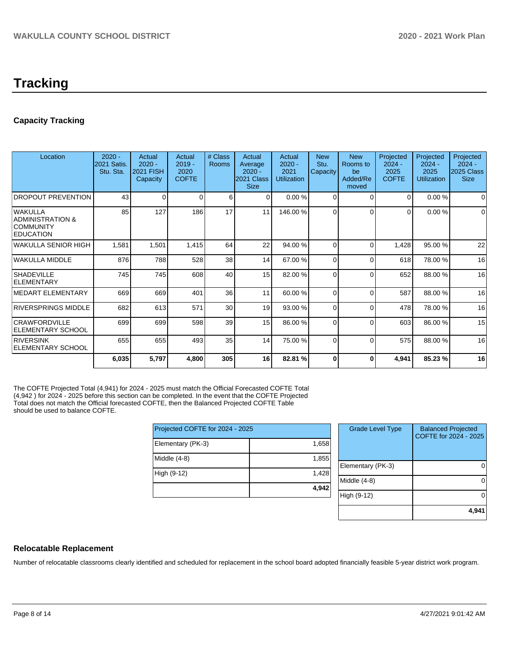# **Capacity Tracking**

| Location                                                             | $2020 -$<br>2021 Satis.<br>Stu. Sta. | Actual<br>$2020 -$<br><b>2021 FISH</b><br>Capacity | Actual<br>$2019 -$<br>2020<br><b>COFTE</b> | # Class<br>Rooms | Actual<br>Average<br>$2020 -$<br>2021 Class<br><b>Size</b> | Actual<br>$2020 -$<br>2021<br><b>Utilization</b> | <b>New</b><br>Stu.<br>Capacity | <b>New</b><br>Rooms to<br>be<br>Added/Re<br>moved | Projected<br>$2024 -$<br>2025<br><b>COFTE</b> | Projected<br>$2024 -$<br>2025<br><b>Utilization</b> | Projected<br>$2024 -$<br>2025 Class<br><b>Size</b> |
|----------------------------------------------------------------------|--------------------------------------|----------------------------------------------------|--------------------------------------------|------------------|------------------------------------------------------------|--------------------------------------------------|--------------------------------|---------------------------------------------------|-----------------------------------------------|-----------------------------------------------------|----------------------------------------------------|
| <b>DROPOUT PREVENTION</b>                                            | 43                                   | $\Omega$                                           | 0                                          | 6                | $\Omega$                                                   | 0.00%                                            | $\Omega$                       | $\Omega$                                          | $\Omega$                                      | 0.00%                                               | $\Omega$                                           |
| lwakulla<br>ADMINISTRATION &<br><b>COMMUNITY</b><br><b>EDUCATION</b> | 85                                   | 127                                                | 186                                        | 17               | 11                                                         | 146.00%                                          | $\Omega$                       | $\Omega$                                          | 0                                             | 0.00%                                               | $\Omega$                                           |
| WAKULLA SENIOR HIGH                                                  | 1,581                                | 1,501                                              | 1,415                                      | 64               | 22                                                         | 94.00 %                                          | $\Omega$                       | $\Omega$                                          | 1,428                                         | 95.00 %                                             | 22                                                 |
| WAKULLA MIDDLE                                                       | 876                                  | 788                                                | 528                                        | 38               | 14                                                         | 67.00 %                                          | 0                              | $\Omega$                                          | 618                                           | 78.00 %                                             | 16                                                 |
| <b>SHADEVILLE</b><br><b>ELEMENTARY</b>                               | 745                                  | 745                                                | 608                                        | 40               | 15                                                         | 82.00 %                                          | $\Omega$                       | $\Omega$                                          | 652                                           | 88.00 %                                             | 16                                                 |
| <b>IMEDART ELEMENTARY</b>                                            | 669                                  | 669                                                | 401                                        | 36               | 11                                                         | 60.00 %                                          | $\Omega$                       | $\Omega$                                          | 587                                           | 88.00 %                                             | 16                                                 |
| RIVERSPRINGS MIDDLE                                                  | 682                                  | 613                                                | 571                                        | 30               | 19                                                         | 93.00 %                                          | $\Omega$                       | $\Omega$                                          | 478                                           | 78.00 %                                             | 16                                                 |
| <b>CRAWFORDVILLE</b><br><b>IELEMENTARY SCHOOL</b>                    | 699                                  | 699                                                | 598                                        | 39               | 15                                                         | 86.00 %                                          | $\Omega$                       | $\Omega$                                          | 603                                           | 86.00 %                                             | 15                                                 |
| <b>RIVERSINK</b><br><b>ELEMENTARY SCHOOL</b>                         | 655                                  | 655                                                | 493                                        | 35               | 14                                                         | 75.00 %                                          | $\Omega$                       | $\Omega$                                          | 575                                           | 88.00 %                                             | 16                                                 |
|                                                                      | 6,035                                | 5,797                                              | 4,800                                      | 305              | 16                                                         | 82.81 %                                          | O                              | O                                                 | 4,941                                         | 85.23 %                                             | 16                                                 |

The COFTE Projected Total (4,941) for 2024 - 2025 must match the Official Forecasted COFTE Total (4,942 ) for 2024 - 2025 before this section can be completed. In the event that the COFTE Projected Total does not match the Official forecasted COFTE, then the Balanced Projected COFTE Table should be used to balance COFTE.

| Projected COFTE for 2024 - 2025 |       |  |  |  |  |  |
|---------------------------------|-------|--|--|--|--|--|
| Elementary (PK-3)               | 1,658 |  |  |  |  |  |
| Middle (4-8)                    | 1,855 |  |  |  |  |  |
| High (9-12)                     | 1,428 |  |  |  |  |  |
|                                 | 4,942 |  |  |  |  |  |

| <b>Grade Level Type</b> | <b>Balanced Projected</b><br>COFTE for 2024 - 2025 |
|-------------------------|----------------------------------------------------|
| Elementary (PK-3)       |                                                    |
| Middle $(4-8)$          |                                                    |
| High (9-12)             |                                                    |
|                         | 4,941                                              |

## **Relocatable Replacement**

Number of relocatable classrooms clearly identified and scheduled for replacement in the school board adopted financially feasible 5-year district work program.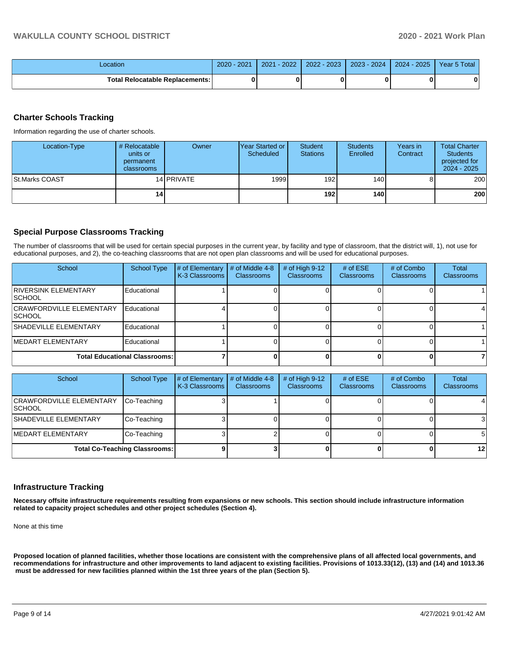| .ocation                               | 2021<br>$2020 -$ | $-2022$<br>2021 | $-2023$<br>2022 | $2023 - 2024$ | $2024 - 2025$ | Year 5 Total |
|----------------------------------------|------------------|-----------------|-----------------|---------------|---------------|--------------|
| <b>Total Relocatable Replacements:</b> |                  |                 |                 |               |               |              |

#### **Charter Schools Tracking**

Information regarding the use of charter schools.

| Location-Type         | # Relocatable<br>units or<br>permanent<br><b>classrooms</b> | Owner      | Year Started or<br>Scheduled | <b>Student</b><br><b>Stations</b> | <b>Students</b><br>Enrolled | Years in<br>Contract | <b>Total Charter</b><br><b>Students</b><br>projected for<br>$2024 - 2025$ |
|-----------------------|-------------------------------------------------------------|------------|------------------------------|-----------------------------------|-----------------------------|----------------------|---------------------------------------------------------------------------|
| <b>St.Marks COAST</b> |                                                             | 14 PRIVATE | 1999                         | 192                               | 140 <b>I</b>                |                      | 200                                                                       |
|                       | 14                                                          |            |                              | 192 l                             | 140 l                       |                      | 200                                                                       |

#### **Special Purpose Classrooms Tracking**

The number of classrooms that will be used for certain special purposes in the current year, by facility and type of classroom, that the district will, 1), not use for educational purposes, and 2), the co-teaching classrooms that are not open plan classrooms and will be used for educational purposes.

| School                                            | <b>School Type</b> | # of Elementary<br>K-3 Classrooms | # of Middle 4-8<br><b>Classrooms</b> | # of High $9-12$<br><b>Classrooms</b> | # of $ESE$<br>Classrooms | # of Combo<br><b>Classrooms</b> | <b>Total</b><br><b>Classrooms</b> |
|---------------------------------------------------|--------------------|-----------------------------------|--------------------------------------|---------------------------------------|--------------------------|---------------------------------|-----------------------------------|
| RIVERSINK ELEMENTARY<br><b>ISCHOOL</b>            | Educational        |                                   |                                      |                                       |                          |                                 |                                   |
| <b>CRAWFORDVILLE ELEMENTARY</b><br><b>ISCHOOL</b> | Educational        |                                   |                                      |                                       |                          |                                 |                                   |
| SHADEVILLE ELEMENTARY                             | Educational        |                                   |                                      |                                       |                          |                                 |                                   |
| <b>IMEDART ELEMENTARY</b>                         | Educational        |                                   |                                      |                                       |                          |                                 |                                   |
| <b>Total Educational Classrooms:</b>              |                    |                                   |                                      |                                       |                          |                                 |                                   |

| School                                            | <b>School Type</b> | # of Elementary<br>K-3 Classrooms | # of Middle 4-8<br><b>Classrooms</b> | # of High $9-12$<br><b>Classrooms</b> | # of $ESE$<br><b>Classrooms</b> | # of Combo<br><b>Classrooms</b> | Total<br><b>Classrooms</b> |
|---------------------------------------------------|--------------------|-----------------------------------|--------------------------------------|---------------------------------------|---------------------------------|---------------------------------|----------------------------|
| <b>CRAWFORDVILLE ELEMENTARY</b><br><b>ISCHOOL</b> | Co-Teaching        |                                   |                                      |                                       |                                 |                                 |                            |
| <b>SHADEVILLE ELEMENTARY</b>                      | Co-Teaching        |                                   |                                      |                                       |                                 |                                 |                            |
| <b>IMEDART ELEMENTARY</b>                         | Co-Teaching        |                                   |                                      |                                       |                                 |                                 | 51                         |
| <b>Total Co-Teaching Classrooms:</b>              |                    |                                   |                                      |                                       |                                 |                                 | 12 <sub>l</sub>            |

#### **Infrastructure Tracking**

**Necessary offsite infrastructure requirements resulting from expansions or new schools. This section should include infrastructure information related to capacity project schedules and other project schedules (Section 4).** 

None at this time

**Proposed location of planned facilities, whether those locations are consistent with the comprehensive plans of all affected local governments, and recommendations for infrastructure and other improvements to land adjacent to existing facilities. Provisions of 1013.33(12), (13) and (14) and 1013.36** must be addressed for new facilities planned within the 1st three years of the plan (Section 5).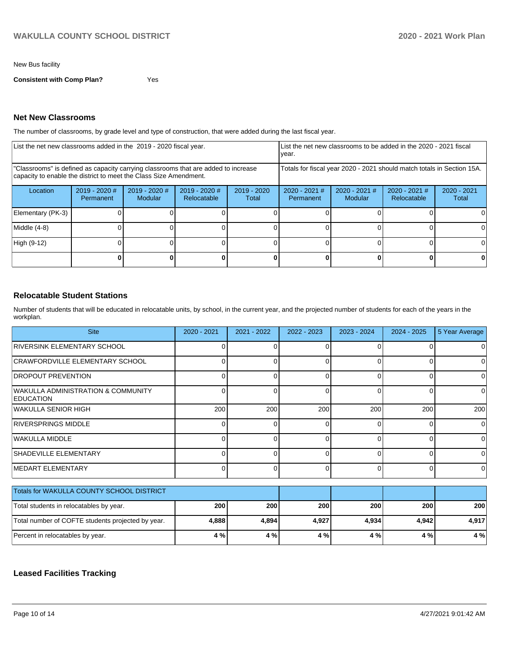New Bus facility

**Consistent with Comp Plan?** Yes

### **Net New Classrooms**

The number of classrooms, by grade level and type of construction, that were added during the last fiscal year.

| List the net new classrooms added in the 2019 - 2020 fiscal year.                                                                                       | Llist the net new classrooms to be added in the 2020 - 2021 fiscal<br>year. |                            |                                |                                                                        |                                     |                            |                                |                      |
|---------------------------------------------------------------------------------------------------------------------------------------------------------|-----------------------------------------------------------------------------|----------------------------|--------------------------------|------------------------------------------------------------------------|-------------------------------------|----------------------------|--------------------------------|----------------------|
| "Classrooms" is defined as capacity carrying classrooms that are added to increase<br>capacity to enable the district to meet the Class Size Amendment. |                                                                             |                            |                                | Totals for fiscal year 2020 - 2021 should match totals in Section 15A. |                                     |                            |                                |                      |
| Location                                                                                                                                                | 2019 - 2020 #<br><b>Permanent</b>                                           | $2019 - 2020$ #<br>Modular | $2019 - 2020$ #<br>Relocatable | $2019 - 2020$<br>Total                                                 | $2020 - 2021$ #<br><b>Permanent</b> | $2020 - 2021$ #<br>Modular | $2020 - 2021$ #<br>Relocatable | 2020 - 2021<br>Total |
| Elementary (PK-3)                                                                                                                                       |                                                                             |                            |                                |                                                                        |                                     |                            |                                |                      |
| Middle (4-8)                                                                                                                                            |                                                                             |                            |                                |                                                                        |                                     |                            |                                |                      |
| High (9-12)                                                                                                                                             |                                                                             |                            |                                |                                                                        |                                     |                            |                                |                      |
|                                                                                                                                                         |                                                                             |                            |                                |                                                                        |                                     |                            | 0                              | 0                    |

## **Relocatable Student Stations**

Number of students that will be educated in relocatable units, by school, in the current year, and the projected number of students for each of the years in the workplan.

| <b>Site</b>                                            | 2020 - 2021 | 2021 - 2022 | 2022 - 2023 | 2023 - 2024 | $2024 - 2025$ | 5 Year Average |
|--------------------------------------------------------|-------------|-------------|-------------|-------------|---------------|----------------|
| <b>RIVERSINK ELEMENTARY SCHOOL</b>                     | $\Omega$    | U           | $\Omega$    |             |               | $\Omega$       |
| CRAWFORDVILLE ELEMENTARY SCHOOL                        | 0           | $\Omega$    | 0           | 0           | 0             | 0              |
| <b>DROPOUT PREVENTION</b>                              | $\Omega$    | 0           | $\Omega$    |             | $\Omega$      | 0              |
| WAKULLA ADMINISTRATION & COMMUNITY<br><b>EDUCATION</b> | $\Omega$    | $\Omega$    | 0           | 0           | $\Omega$      | $\Omega$       |
| <b>WAKULLA SENIOR HIGH</b>                             | 200         | 200         | 200         | 200         | 200           | 200            |
| <b>RIVERSPRINGS MIDDLE</b>                             | 0           | 0           | 0           | 0           | 0             | 0              |
| <b>WAKULLA MIDDLE</b>                                  | U           | 0           | $\Omega$    | U           | $\Omega$      | $\Omega$       |
| SHADEVILLE ELEMENTARY                                  | 0           | 0           | $\Omega$    | 0           | $\Omega$      | 0              |
| <b>MEDART ELEMENTARY</b>                               | 0           | 0           | $\Omega$    | 0           | $\Omega$      | 0              |
| Totals for WAKULLA COUNTY SCHOOL DISTRICT              |             |             |             |             |               |                |
| Total students in relocatables by year.                | 200         | 200         | 200         | 200         | 200           | 200            |
| Total number of COFTE students projected by year.      | 4,888       | 4,894       | 4,927       | 4,934       | 4,942         | 4,917          |
| Percent in relocatables by year.                       | 4 %         | 4 %         | 4 %         | 4 %         | 4 %           | 4 %            |

## **Leased Facilities Tracking**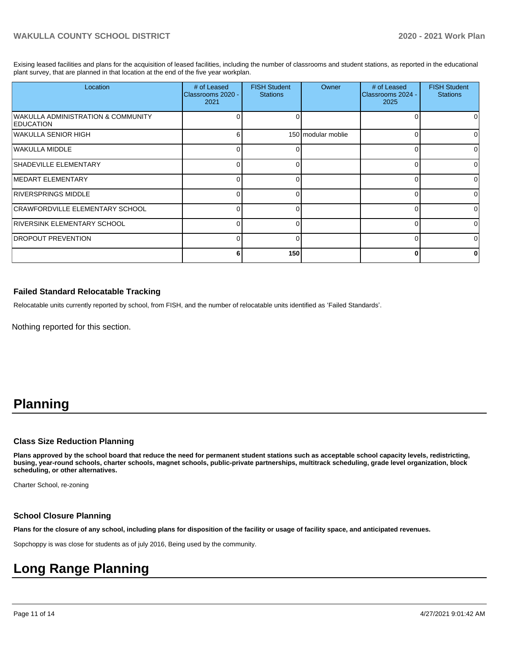Exising leased facilities and plans for the acquisition of leased facilities, including the number of classrooms and student stations, as reported in the educational plant survey, that are planned in that location at the end of the five year workplan.

| Location                                               | # of Leased<br>Classrooms 2020 -<br>2021 | <b>FISH Student</b><br><b>Stations</b> | Owner              | # of Leased<br>Classrooms 2024 -<br>2025 | <b>FISH Student</b><br><b>Stations</b> |
|--------------------------------------------------------|------------------------------------------|----------------------------------------|--------------------|------------------------------------------|----------------------------------------|
| WAKULLA ADMINISTRATION & COMMUNITY<br><b>EDUCATION</b> |                                          | ∩                                      |                    |                                          | $\Omega$                               |
| WAKULLA SENIOR HIGH                                    | 6                                        |                                        | 150 modular moblie |                                          | $\Omega$                               |
| WAKULLA MIDDLE                                         |                                          |                                        |                    |                                          | $\Omega$                               |
| <b>SHADEVILLE ELEMENTARY</b>                           |                                          | O                                      |                    |                                          | $\Omega$                               |
| <b>IMEDART ELEMENTARY</b>                              |                                          | ∩                                      |                    |                                          | $\Omega$                               |
| <b>IRIVERSPRINGS MIDDLE</b>                            |                                          | ∩                                      |                    |                                          | $\Omega$                               |
| <b>CRAWFORDVILLE ELEMENTARY SCHOOL</b>                 |                                          | ∩                                      |                    |                                          | $\Omega$                               |
| RIVERSINK ELEMENTARY SCHOOL                            | ∩                                        | ∩                                      |                    |                                          | $\Omega$                               |
| <b>IDROPOUT PREVENTION</b>                             | ∩                                        | $\Omega$                               |                    |                                          | $\Omega$                               |
|                                                        | 6                                        | 150                                    |                    |                                          | 0                                      |

#### **Failed Standard Relocatable Tracking**

Relocatable units currently reported by school, from FISH, and the number of relocatable units identified as 'Failed Standards'.

Nothing reported for this section.

# **Planning**

#### **Class Size Reduction Planning**

**Plans approved by the school board that reduce the need for permanent student stations such as acceptable school capacity levels, redistricting, busing, year-round schools, charter schools, magnet schools, public-private partnerships, multitrack scheduling, grade level organization, block scheduling, or other alternatives.**

Charter School, re-zoning

#### **School Closure Planning**

**Plans for the closure of any school, including plans for disposition of the facility or usage of facility space, and anticipated revenues.** 

Sopchoppy is was close for students as of july 2016, Being used by the community.

# **Long Range Planning**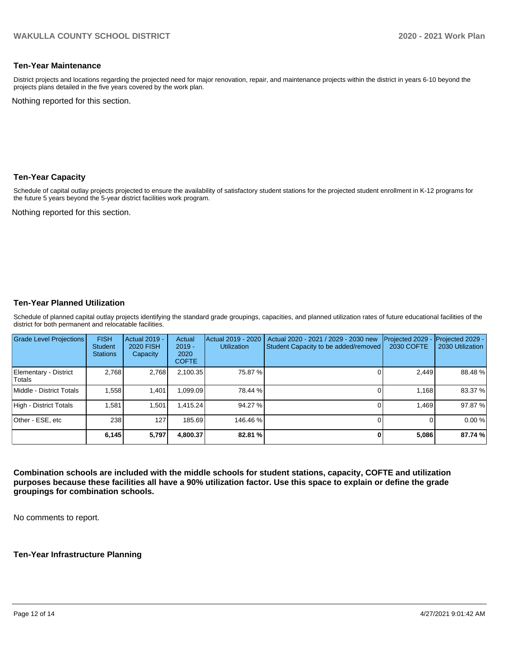#### **Ten-Year Maintenance**

District projects and locations regarding the projected need for major renovation, repair, and maintenance projects within the district in years 6-10 beyond the projects plans detailed in the five years covered by the work plan.

Nothing reported for this section.

#### **Ten-Year Capacity**

Schedule of capital outlay projects projected to ensure the availability of satisfactory student stations for the projected student enrollment in K-12 programs for the future 5 years beyond the 5-year district facilities work program.

Nothing reported for this section.

#### **Ten-Year Planned Utilization**

Schedule of planned capital outlay projects identifying the standard grade groupings, capacities, and planned utilization rates of future educational facilities of the district for both permanent and relocatable facilities.

| <b>Grade Level Projections</b>  | <b>FISH</b><br><b>Student</b><br><b>Stations</b> | Actual 2019 -<br><b>2020 FISH</b><br>Capacity | Actual<br>$2019 -$<br>2020<br><b>COFTE</b> | Actual 2019 - 2020<br><b>Utilization</b> | Actual 2020 - 2021 / 2029 - 2030 new<br>Student Capacity to be added/removed | Projected 2029<br>2030 COFTE | Projected 2029 -<br>2030 Utilization |
|---------------------------------|--------------------------------------------------|-----------------------------------------------|--------------------------------------------|------------------------------------------|------------------------------------------------------------------------------|------------------------------|--------------------------------------|
| Elementary - District<br>Totals | 2.768                                            | 2,768                                         | 2,100.35                                   | 75.87 %                                  |                                                                              | 2,449                        | 88.48%                               |
| Middle - District Totals        | 1.558                                            | 1.401                                         | 099.09.                                    | 78.44 %                                  |                                                                              | 1.168                        | 83.37 %                              |
| High - District Totals          | 1.581                                            | 1.501                                         | .415.24                                    | 94.27 %                                  |                                                                              | 1.469                        | 97.87 %                              |
| Other - ESE, etc                | 238                                              | 127                                           | 185.69                                     | 146.46 %                                 |                                                                              |                              | 0.00%                                |
|                                 | 6,145                                            | 5,797                                         | 4.800.37                                   | 82.81 %                                  |                                                                              | 5,086                        | 87.74 %                              |

**Combination schools are included with the middle schools for student stations, capacity, COFTE and utilization purposes because these facilities all have a 90% utilization factor. Use this space to explain or define the grade groupings for combination schools.** 

No comments to report.

## **Ten-Year Infrastructure Planning**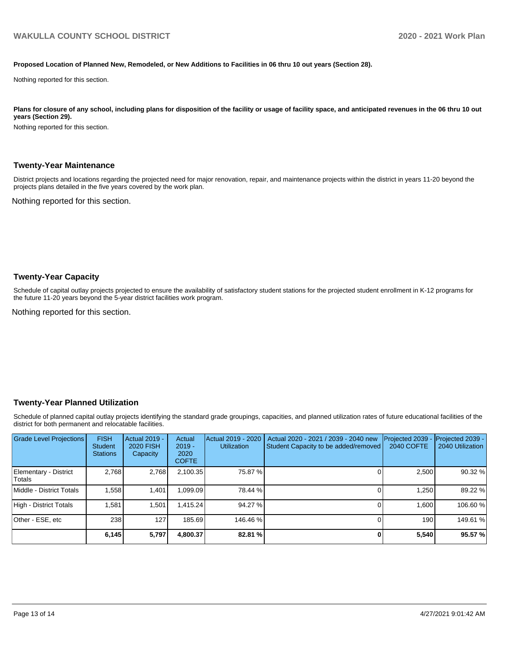#### **Proposed Location of Planned New, Remodeled, or New Additions to Facilities in 06 thru 10 out years (Section 28).**

Nothing reported for this section.

Plans for closure of any school, including plans for disposition of the facility or usage of facility space, and anticipated revenues in the 06 thru 10 out **years (Section 29).**

Nothing reported for this section.

#### **Twenty-Year Maintenance**

District projects and locations regarding the projected need for major renovation, repair, and maintenance projects within the district in years 11-20 beyond the projects plans detailed in the five years covered by the work plan.

Nothing reported for this section.

#### **Twenty-Year Capacity**

Schedule of capital outlay projects projected to ensure the availability of satisfactory student stations for the projected student enrollment in K-12 programs for the future 11-20 years beyond the 5-year district facilities work program.

Nothing reported for this section.

#### **Twenty-Year Planned Utilization**

Schedule of planned capital outlay projects identifying the standard grade groupings, capacities, and planned utilization rates of future educational facilities of the district for both permanent and relocatable facilities.

| <b>Grade Level Projections</b>   | <b>FISH</b><br><b>Student</b><br><b>Stations</b> | <b>Actual 2019 -</b><br><b>2020 FISH</b><br>Capacity | Actual<br>$2019 -$<br>2020<br><b>COFTE</b> | Actual 2019 - 2020<br><b>Utilization</b> | Actual 2020 - 2021 / 2039 - 2040 new<br>Student Capacity to be added/removed | Projected 2039<br><b>2040 COFTE</b> | <b>Projected 2039 -</b><br>2040 Utilization |
|----------------------------------|--------------------------------------------------|------------------------------------------------------|--------------------------------------------|------------------------------------------|------------------------------------------------------------------------------|-------------------------------------|---------------------------------------------|
| Elementary - District<br> Totals | 2.768                                            | 2,768                                                | 2,100.35                                   | 75.87 %                                  |                                                                              | 2.500                               | 90.32 %                                     |
| Middle - District Totals         | 1.558                                            | 1.401                                                | 099.09.                                    | 78.44 %                                  |                                                                              | 1.250                               | 89.22 %                                     |
| High - District Totals           | 1.581                                            | 1.501                                                | .415.24                                    | 94.27 %                                  |                                                                              | 1.600                               | 106.60%                                     |
| Other - ESE, etc                 | 238                                              | 127                                                  | 185.69                                     | 146.46 %                                 |                                                                              | 190 <sup>1</sup>                    | 149.61 %                                    |
|                                  | 6,145                                            | 5,797                                                | 4,800.37                                   | 82.81 %                                  |                                                                              | 5,540                               | 95.57 %                                     |